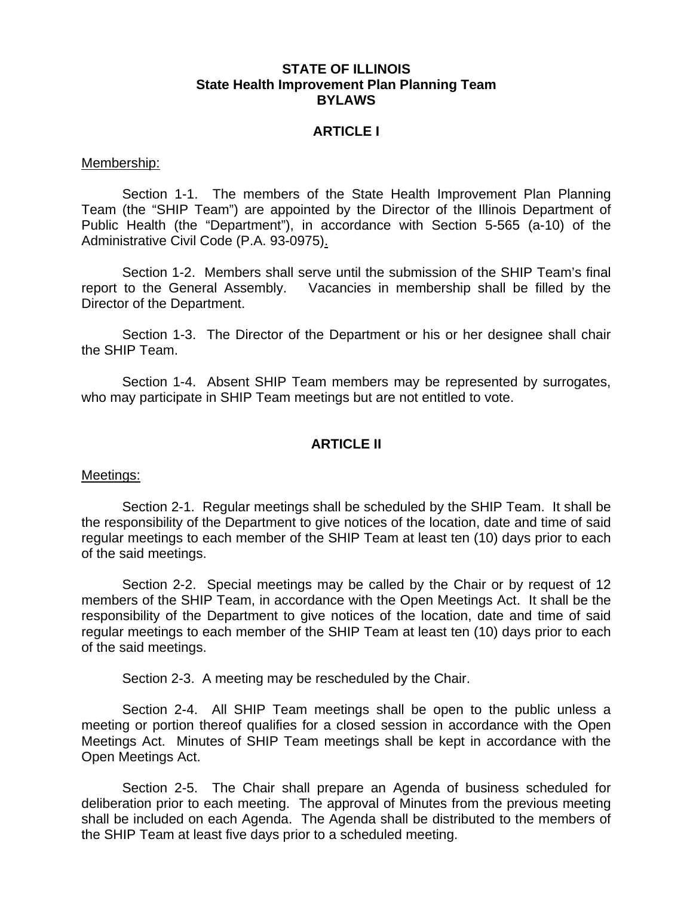## **STATE OF ILLINOIS State Health Improvement Plan Planning Team BYLAWS**

## **ARTICLE I**

#### Membership:

 Section 1-1. The members of the State Health Improvement Plan Planning Team (the "SHIP Team") are appointed by the Director of the Illinois Department of Public Health (the "Department"), in accordance with Section 5-565 (a-10) of the Administrative Civil Code (P.A. 93-0975).

 Section 1-2. Members shall serve until the submission of the SHIP Team's final report to the General Assembly. Vacancies in membership shall be filled by the Director of the Department.

 Section 1-3. The Director of the Department or his or her designee shall chair the SHIP Team.

 Section 1-4. Absent SHIP Team members may be represented by surrogates, who may participate in SHIP Team meetings but are not entitled to vote.

## **ARTICLE II**

#### Meetings:

 Section 2-1. Regular meetings shall be scheduled by the SHIP Team. It shall be the responsibility of the Department to give notices of the location, date and time of said regular meetings to each member of the SHIP Team at least ten (10) days prior to each of the said meetings.

Section 2-2. Special meetings may be called by the Chair or by request of 12 members of the SHIP Team, in accordance with the Open Meetings Act. It shall be the responsibility of the Department to give notices of the location, date and time of said regular meetings to each member of the SHIP Team at least ten (10) days prior to each of the said meetings.

Section 2-3. A meeting may be rescheduled by the Chair.

 Section 2-4. All SHIP Team meetings shall be open to the public unless a meeting or portion thereof qualifies for a closed session in accordance with the Open Meetings Act. Minutes of SHIP Team meetings shall be kept in accordance with the Open Meetings Act.

 Section 2-5. The Chair shall prepare an Agenda of business scheduled for deliberation prior to each meeting. The approval of Minutes from the previous meeting shall be included on each Agenda. The Agenda shall be distributed to the members of the SHIP Team at least five days prior to a scheduled meeting.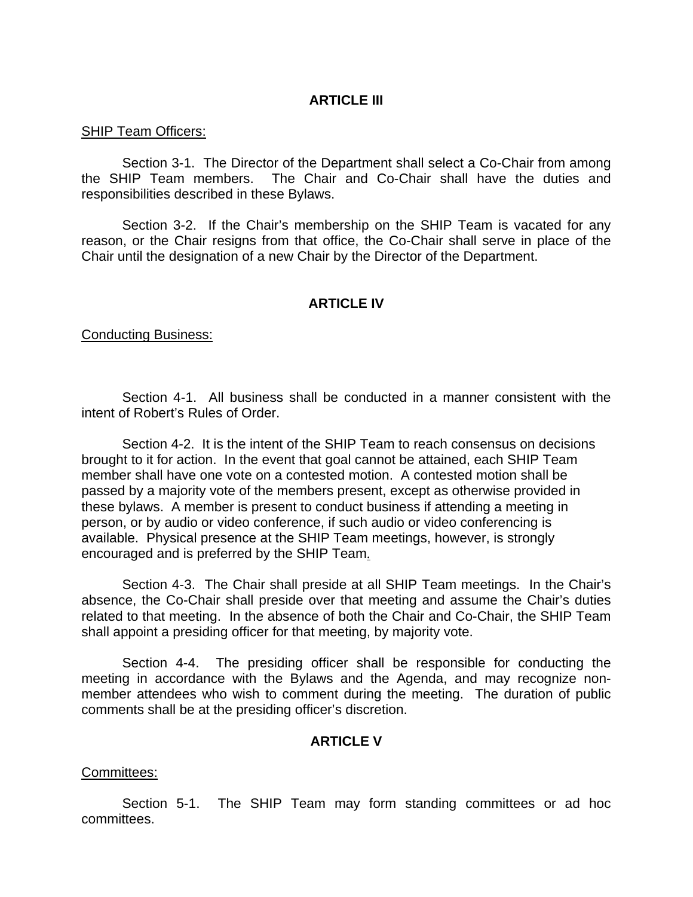## **ARTICLE III**

### SHIP Team Officers:

 Section 3-1. The Director of the Department shall select a Co-Chair from among the SHIP Team members. The Chair and Co-Chair shall have the duties and responsibilities described in these Bylaws.

 Section 3-2. If the Chair's membership on the SHIP Team is vacated for any reason, or the Chair resigns from that office, the Co-Chair shall serve in place of the Chair until the designation of a new Chair by the Director of the Department.

# **ARTICLE IV**

## Conducting Business:

 Section 4-1. All business shall be conducted in a manner consistent with the intent of Robert's Rules of Order.

Section 4-2. It is the intent of the SHIP Team to reach consensus on decisions brought to it for action. In the event that goal cannot be attained, each SHIP Team member shall have one vote on a contested motion. A contested motion shall be passed by a majority vote of the members present, except as otherwise provided in these bylaws. A member is present to conduct business if attending a meeting in person, or by audio or video conference, if such audio or video conferencing is available. Physical presence at the SHIP Team meetings, however, is strongly encouraged and is preferred by the SHIP Team.

 Section 4-3. The Chair shall preside at all SHIP Team meetings. In the Chair's absence, the Co-Chair shall preside over that meeting and assume the Chair's duties related to that meeting. In the absence of both the Chair and Co-Chair, the SHIP Team shall appoint a presiding officer for that meeting, by majority vote.

 Section 4-4. The presiding officer shall be responsible for conducting the meeting in accordance with the Bylaws and the Agenda, and may recognize nonmember attendees who wish to comment during the meeting. The duration of public comments shall be at the presiding officer's discretion.

## **ARTICLE V**

## Committees:

 Section 5-1. The SHIP Team may form standing committees or ad hoc committees.